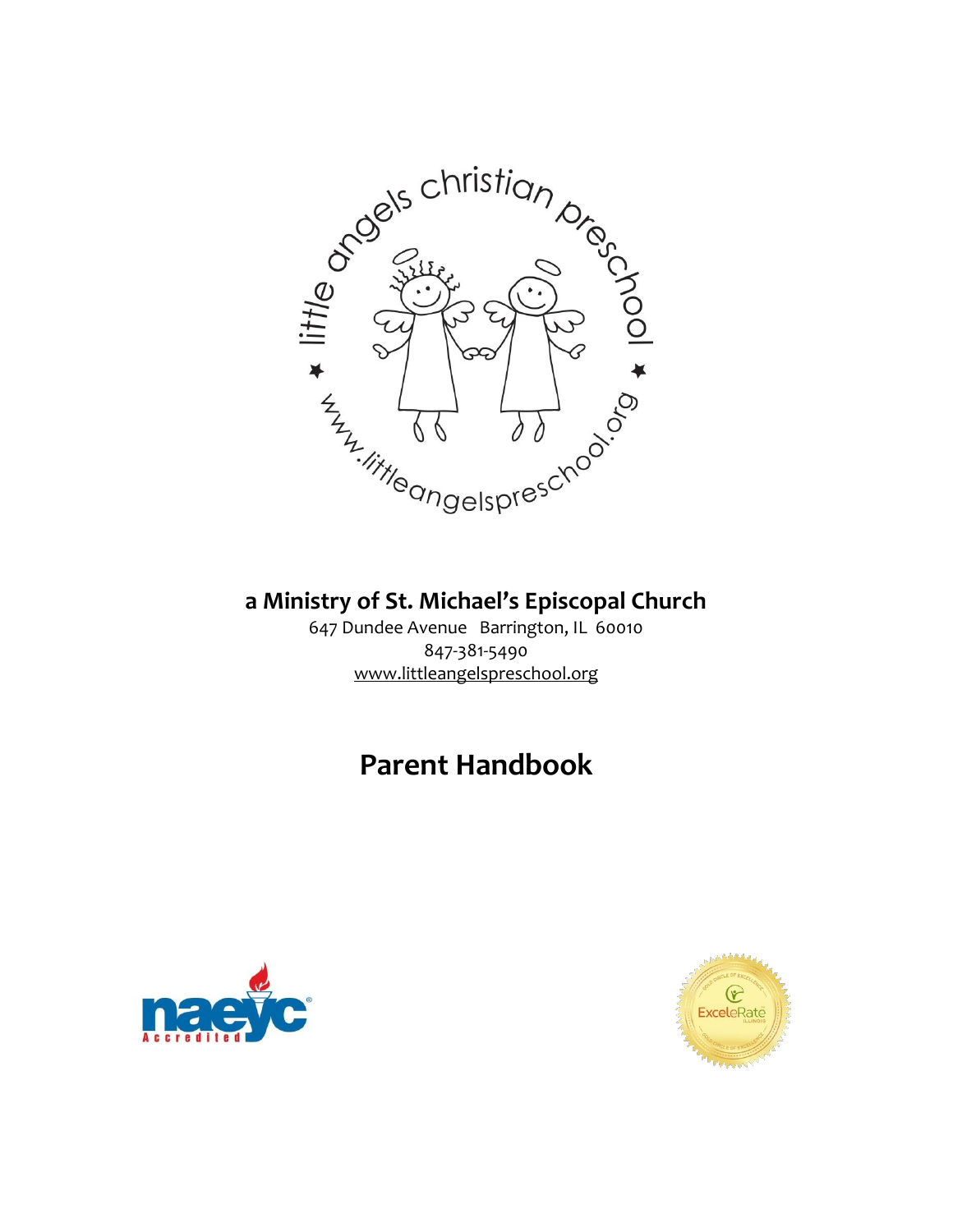

# **a Ministry of St. Michael's Episcopal Church**

647 Dundee Avenue Barrington, IL 60010 847-381-5490 www.littleangelspreschool.org

# **Parent Handbook**



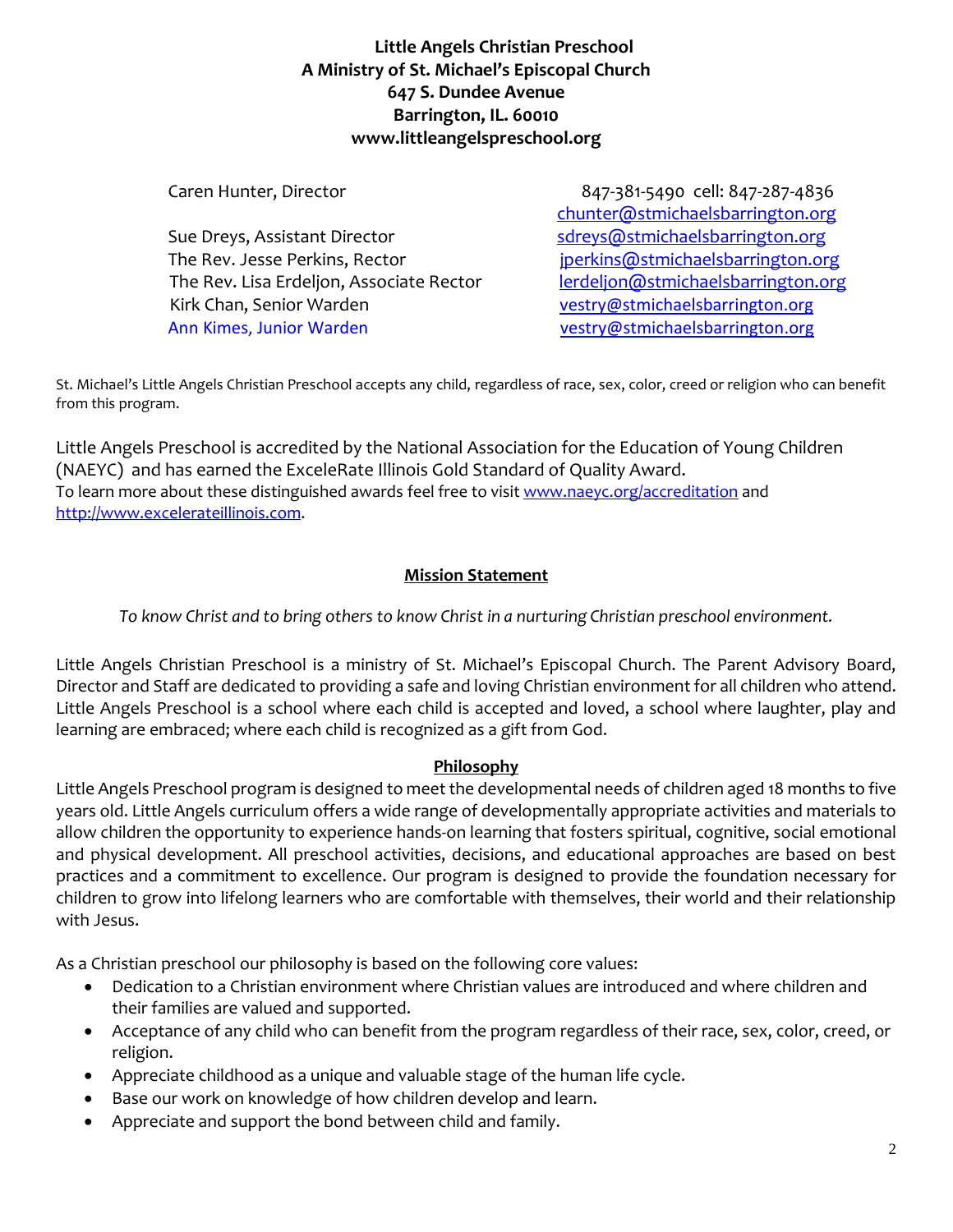## **Little Angels Christian Preschool A Ministry of St. Michael's Episcopal Church 647 S. Dundee Avenue Barrington, IL. 60010 www.littleangelspreschool.org**

Caren Hunter, Director 847-381-5490 cell: 847-287-4836 [chunter@stmichaelsbarrington.org](mailto:chunter@stmichaelsbarrington.org) Sue Dreys, Assistant Director states and the state of the Sue Dreys, Assistant Director The Rev. Jesse Perkins, Rector in the state of perkins@stmichaelsbarrington.org The Rev. Lisa Erdeljon, Associate Rector [lerdeljon@stmichaelsbarrington.org](mailto:lerdeljon@stmichaelsbarrington.org) Kirk Chan, Senior Warden [vestry@stmichaelsbarrington.org](mailto:vestry@stmichaelsbarrington.org) Ann Kimes, Junior Warden [vestry@stmichaelsbarrington.org](mailto:vestry@stmichaelsbarrington.org)

St. Michael's Little Angels Christian Preschool accepts any child, regardless of race, sex, color, creed or religion who can benefit from this program.

Little Angels Preschool is accredited by the National Association for the Education of Young Children (NAEYC) and has earned the ExceleRate Illinois Gold Standard of Quality Award. To learn more about these distinguished awards feel free to visi[t www.naeyc.org/accreditation](http://www.naeyc.org/accreditation) and [http://www.excelerateillinois.com.](http://www.excelerateillinois.com/)

## **Mission Statement**

*To know Christ and to bring others to know Christ in a nurturing Christian preschool environment.*

Little Angels Christian Preschool is a ministry of St. Michael's Episcopal Church. The Parent Advisory Board, Director and Staff are dedicated to providing a safe and loving Christian environment for all children who attend. Little Angels Preschool is a school where each child is accepted and loved, a school where laughter, play and learning are embraced; where each child is recognized as a gift from God.

## **Philosophy**

Little Angels Preschool program is designed to meet the developmental needs of children aged 18 months to five years old. Little Angels curriculum offers a wide range of developmentally appropriate activities and materials to allow children the opportunity to experience hands-on learning that fosters spiritual, cognitive, social emotional and physical development. All preschool activities, decisions, and educational approaches are based on best practices and a commitment to excellence. Our program is designed to provide the foundation necessary for children to grow into lifelong learners who are comfortable with themselves, their world and their relationship with Jesus.

As a Christian preschool our philosophy is based on the following core values:

- Dedication to a Christian environment where Christian values are introduced and where children and their families are valued and supported.
- Acceptance of any child who can benefit from the program regardless of their race, sex, color, creed, or religion.
- Appreciate childhood as a unique and valuable stage of the human life cycle.
- Base our work on knowledge of how children develop and learn.
- Appreciate and support the bond between child and family.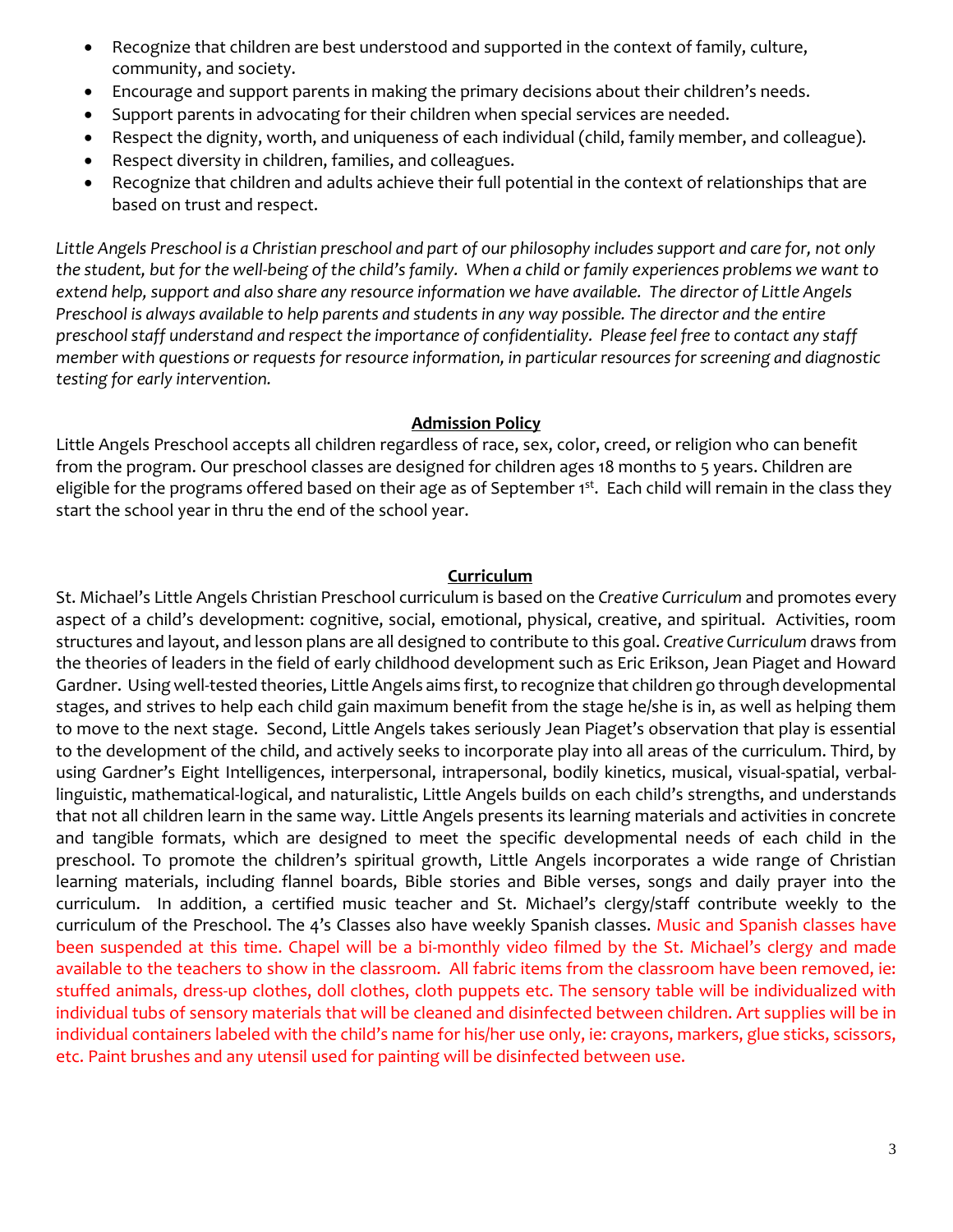- Recognize that children are best understood and supported in the context of family, culture, community, and society.
- Encourage and support parents in making the primary decisions about their children's needs.
- Support parents in advocating for their children when special services are needed.
- Respect the dignity, worth, and uniqueness of each individual (child, family member, and colleague).
- Respect diversity in children, families, and colleagues.
- Recognize that children and adults achieve their full potential in the context of relationships that are based on trust and respect.

*Little Angels Preschool is a Christian preschool and part of our philosophy includes support and care for, not only the student, but for the well-being of the child's family. When a child or family experiences problems we want to extend help, support and also share any resource information we have available. The director of Little Angels Preschool is always available to help parents and students in any way possible. The director and the entire preschool staff understand and respect the importance of confidentiality. Please feel free to contact any staff member with questions or requests for resource information, in particular resources for screening and diagnostic testing for early intervention.*

#### **Admission Policy**

Little Angels Preschool accepts all children regardless of race, sex, color, creed, or religion who can benefit from the program. Our preschool classes are designed for children ages 18 months to 5 years. Children are eligible for the programs offered based on their age as of September 1<sup>st</sup>. Each child will remain in the class they start the school year in thru the end of the school year.

#### **Curriculum**

St. Michael's Little Angels Christian Preschool curriculum is based on the *Creative Curriculum* and promotes every aspect of a child's development: cognitive, social, emotional, physical, creative, and spiritual. Activities, room structures and layout, and lesson plans are all designed to contribute to this goal. *Creative Curriculum* draws from the theories of leaders in the field of early childhood development such as Eric Erikson, Jean Piaget and Howard Gardner. Using well-tested theories, Little Angels aims first, to recognize that children go through developmental stages, and strives to help each child gain maximum benefit from the stage he/she is in, as well as helping them to move to the next stage. Second, Little Angels takes seriously Jean Piaget's observation that play is essential to the development of the child, and actively seeks to incorporate play into all areas of the curriculum. Third, by using Gardner's Eight Intelligences, interpersonal, intrapersonal, bodily kinetics, musical, visual-spatial, verballinguistic, mathematical-logical, and naturalistic, Little Angels builds on each child's strengths, and understands that not all children learn in the same way. Little Angels presents its learning materials and activities in concrete and tangible formats, which are designed to meet the specific developmental needs of each child in the preschool. To promote the children's spiritual growth, Little Angels incorporates a wide range of Christian learning materials, including flannel boards, Bible stories and Bible verses, songs and daily prayer into the curriculum. In addition, a certified music teacher and St. Michael's clergy/staff contribute weekly to the curriculum of the Preschool. The 4's Classes also have weekly Spanish classes. Music and Spanish classes have been suspended at this time. Chapel will be a bi-monthly video filmed by the St. Michael's clergy and made available to the teachers to show in the classroom. All fabric items from the classroom have been removed, ie: stuffed animals, dress-up clothes, doll clothes, cloth puppets etc. The sensory table will be individualized with individual tubs of sensory materials that will be cleaned and disinfected between children. Art supplies will be in individual containers labeled with the child's name for his/her use only, ie: crayons, markers, glue sticks, scissors, etc. Paint brushes and any utensil used for painting will be disinfected between use.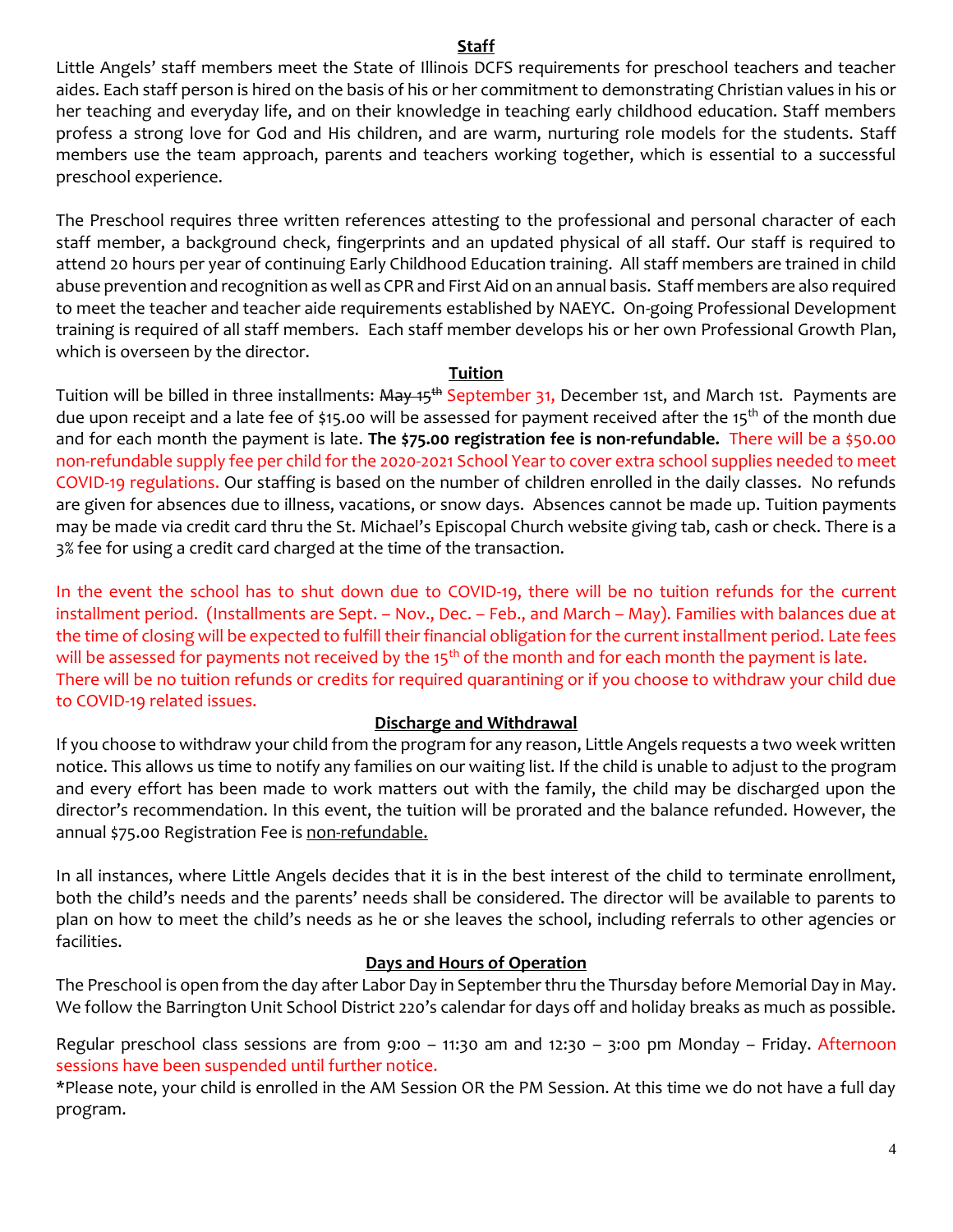#### **Staff**

Little Angels' staff members meet the State of Illinois DCFS requirements for preschool teachers and teacher aides. Each staff person is hired on the basis of his or her commitment to demonstrating Christian values in his or her teaching and everyday life, and on their knowledge in teaching early childhood education. Staff members profess a strong love for God and His children, and are warm, nurturing role models for the students. Staff members use the team approach, parents and teachers working together, which is essential to a successful preschool experience.

The Preschool requires three written references attesting to the professional and personal character of each staff member, a background check, fingerprints and an updated physical of all staff. Our staff is required to attend 20 hours per year of continuing Early Childhood Education training. All staff members are trained in child abuse prevention and recognition as well as CPR and First Aid on an annual basis. Staff members are also required to meet the teacher and teacher aide requirements established by NAEYC. On-going Professional Development training is required of all staff members. Each staff member develops his or her own Professional Growth Plan, which is overseen by the director.

#### **Tuition**

Tuition will be billed in three installments: <del>May 15<sup>th</sup></del> September 31, December 1st, and March 1st. Payments are due upon receipt and a late fee of \$15.00 will be assessed for payment received after the 15<sup>th</sup> of the month due and for each month the payment is late. **The \$75.00 registration fee is non-refundable.** There will be a \$50.00 non-refundable supply fee per child for the 2020-2021 School Year to cover extra school supplies needed to meet COVID-19 regulations. Our staffing is based on the number of children enrolled in the daily classes. No refunds are given for absences due to illness, vacations, or snow days. Absences cannot be made up. Tuition payments may be made via credit card thru the St. Michael's Episcopal Church website giving tab, cash or check. There is a 3% fee for using a credit card charged at the time of the transaction.

In the event the school has to shut down due to COVID-19, there will be no tuition refunds for the current installment period. (Installments are Sept. – Nov., Dec. – Feb., and March – May). Families with balances due at the time of closing will be expected to fulfill their financial obligation for the current installment period. Late fees will be assessed for payments not received by the 15<sup>th</sup> of the month and for each month the payment is late. There will be no tuition refunds or credits for required quarantining or if you choose to withdraw your child due to COVID-19 related issues.

## **Discharge and Withdrawal**

If you choose to withdraw your child from the program for any reason, Little Angels requests a two week written notice. This allows us time to notify any families on our waiting list. If the child is unable to adjust to the program and every effort has been made to work matters out with the family, the child may be discharged upon the director's recommendation. In this event, the tuition will be prorated and the balance refunded. However, the annual \$75.00 Registration Fee is non-refundable.

In all instances, where Little Angels decides that it is in the best interest of the child to terminate enrollment, both the child's needs and the parents' needs shall be considered. The director will be available to parents to plan on how to meet the child's needs as he or she leaves the school, including referrals to other agencies or facilities.

## **Days and Hours of Operation**

The Preschool is open from the day after Labor Day in September thru the Thursday before Memorial Day in May. We follow the Barrington Unit School District 220's calendar for days off and holiday breaks as much as possible.

Regular preschool class sessions are from 9:00 - 11:30 am and 12:30 - 3:00 pm Monday - Friday. Afternoon sessions have been suspended until further notice.

\*Please note, your child is enrolled in the AM Session OR the PM Session. At this time we do not have a full day program.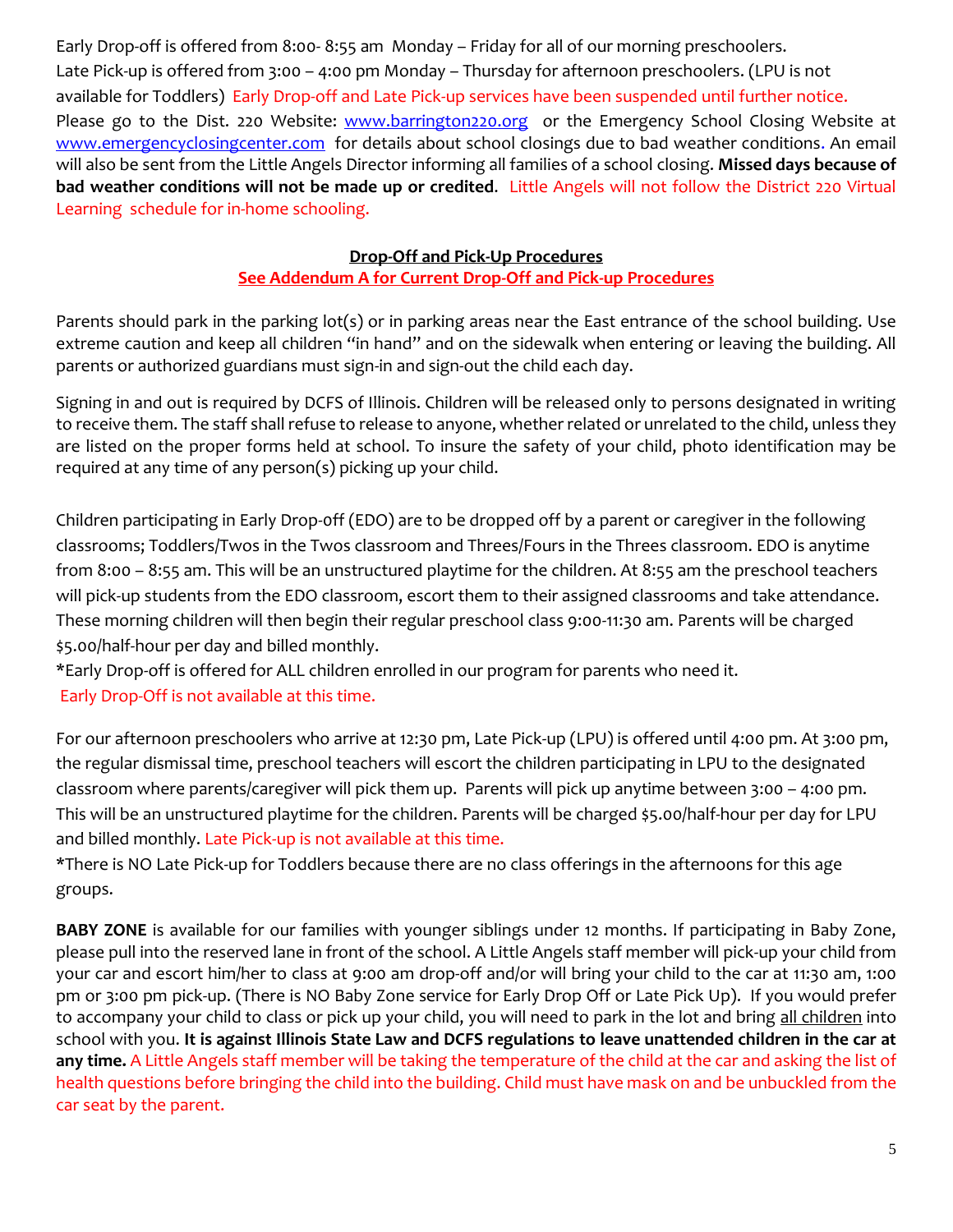Early Drop-off is offered from 8:00- 8:55 am Monday – Friday for all of our morning preschoolers. Late Pick-up is offered from 3:00 – 4:00 pm Monday – Thursday for afternoon preschoolers. (LPU is not available for Toddlers) Early Drop-off and Late Pick-up services have been suspended until further notice. Please go to the Dist. 220 Website: [www.barrington220.org](http://www.barrington220.org/) or the Emergency School Closing Website at [www.emergencyclosingcenter.com](http://www.emergencyclosingcenter.com/) for details about school closings due to bad weather conditions. An email will also be sent from the Little Angels Director informing all families of a school closing. **Missed days because of bad weather conditions will not be made up or credited**. Little Angels will not follow the District 220 Virtual Learning schedule for in-home schooling.

## **Drop-Off and Pick-Up Procedures**

## **See Addendum A for Current Drop-Off and Pick-up Procedures**

Parents should park in the parking lot(s) or in parking areas near the East entrance of the school building. Use extreme caution and keep all children "in hand" and on the sidewalk when entering or leaving the building. All parents or authorized guardians must sign-in and sign-out the child each day.

Signing in and out is required by DCFS of Illinois. Children will be released only to persons designated in writing to receive them. The staff shall refuse to release to anyone, whether related or unrelated to the child, unless they are listed on the proper forms held at school. To insure the safety of your child, photo identification may be required at any time of any person(s) picking up your child.

Children participating in Early Drop-0ff (EDO) are to be dropped off by a parent or caregiver in the following classrooms; Toddlers/Twos in the Twos classroom and Threes/Fours in the Threes classroom. EDO is anytime from 8:00 – 8:55 am. This will be an unstructured playtime for the children. At 8:55 am the preschool teachers will pick-up students from the EDO classroom, escort them to their assigned classrooms and take attendance. These morning children will then begin their regular preschool class 9:00-11:30 am. Parents will be charged \$5.00/half-hour per day and billed monthly.

\*Early Drop-off is offered for ALL children enrolled in our program for parents who need it. Early Drop-Off is not available at this time.

For our afternoon preschoolers who arrive at 12:30 pm, Late Pick-up (LPU) is offered until 4:00 pm. At 3:00 pm, the regular dismissal time, preschool teachers will escort the children participating in LPU to the designated classroom where parents/caregiver will pick them up. Parents will pick up anytime between 3:00 – 4:00 pm. This will be an unstructured playtime for the children. Parents will be charged \$5.00/half-hour per day for LPU and billed monthly. Late Pick-up is not available at this time.

\*There is NO Late Pick-up for Toddlers because there are no class offerings in the afternoons for this age groups.

**BABY ZONE** is available for our families with younger siblings under 12 months. If participating in Baby Zone, please pull into the reserved lane in front of the school. A Little Angels staff member will pick-up your child from your car and escort him/her to class at 9:00 am drop-off and/or will bring your child to the car at 11:30 am, 1:00 pm or 3:00 pm pick-up. (There is NO Baby Zone service for Early Drop Off or Late Pick Up). If you would prefer to accompany your child to class or pick up your child, you will need to park in the lot and bring all children into school with you. **It is against Illinois State Law and DCFS regulations to leave unattended children in the car at any time.** A Little Angels staff member will be taking the temperature of the child at the car and asking the list of health questions before bringing the child into the building. Child must have mask on and be unbuckled from the car seat by the parent.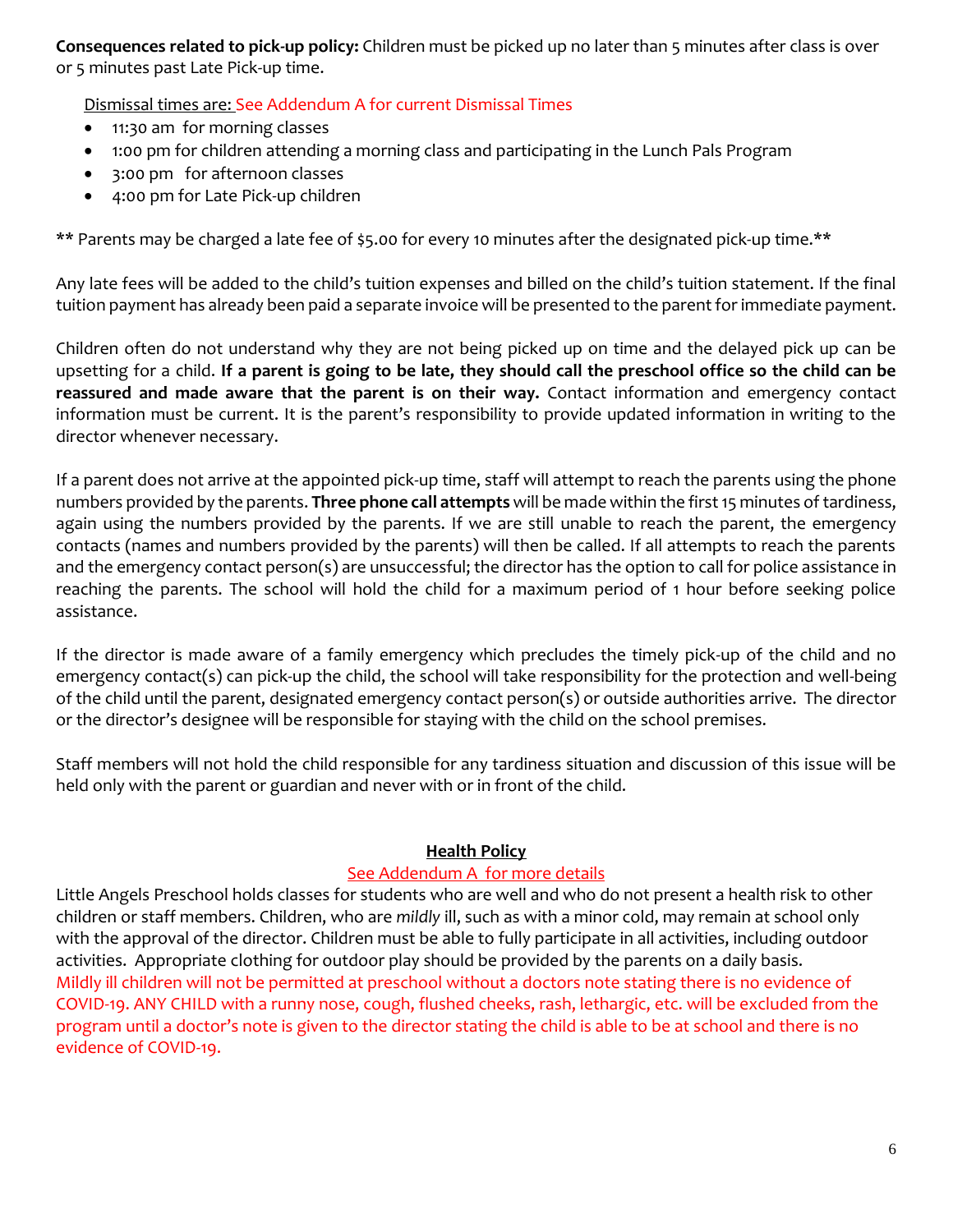**Consequences related to pick-up policy:** Children must be picked up no later than 5 minutes after class is over or 5 minutes past Late Pick-up time.

Dismissal times are: See Addendum A for current Dismissal Times

- 11:30 am for morning classes
- 1:00 pm for children attending a morning class and participating in the Lunch Pals Program
- 3:00 pm for afternoon classes
- 4:00 pm for Late Pick-up children

\*\* Parents may be charged a late fee of \$5.00 for every 10 minutes after the designated pick-up time.\*\*

Any late fees will be added to the child's tuition expenses and billed on the child's tuition statement. If the final tuition payment has already been paid a separate invoice will be presented to the parent for immediate payment.

Children often do not understand why they are not being picked up on time and the delayed pick up can be upsetting for a child. **If a parent is going to be late, they should call the preschool office so the child can be reassured and made aware that the parent is on their way.** Contact information and emergency contact information must be current. It is the parent's responsibility to provide updated information in writing to the director whenever necessary.

If a parent does not arrive at the appointed pick-up time, staff will attempt to reach the parents using the phone numbers provided by the parents. **Three phone call attempts** will be made within the first 15 minutes of tardiness, again using the numbers provided by the parents. If we are still unable to reach the parent, the emergency contacts (names and numbers provided by the parents) will then be called. If all attempts to reach the parents and the emergency contact person(s) are unsuccessful; the director has the option to call for police assistance in reaching the parents. The school will hold the child for a maximum period of 1 hour before seeking police assistance.

If the director is made aware of a family emergency which precludes the timely pick-up of the child and no emergency contact(s) can pick-up the child, the school will take responsibility for the protection and well-being of the child until the parent, designated emergency contact person(s) or outside authorities arrive. The director or the director's designee will be responsible for staying with the child on the school premises.

Staff members will not hold the child responsible for any tardiness situation and discussion of this issue will be held only with the parent or guardian and never with or in front of the child.

#### **Health Policy**

#### See Addendum A for more details

Little Angels Preschool holds classes for students who are well and who do not present a health risk to other children or staff members. Children, who are *mildly* ill, such as with a minor cold, may remain at school only with the approval of the director. Children must be able to fully participate in all activities, including outdoor activities. Appropriate clothing for outdoor play should be provided by the parents on a daily basis. Mildly ill children will not be permitted at preschool without a doctors note stating there is no evidence of COVID-19. ANY CHILD with a runny nose, cough, flushed cheeks, rash, lethargic, etc. will be excluded from the program until a doctor's note is given to the director stating the child is able to be at school and there is no evidence of COVID-19.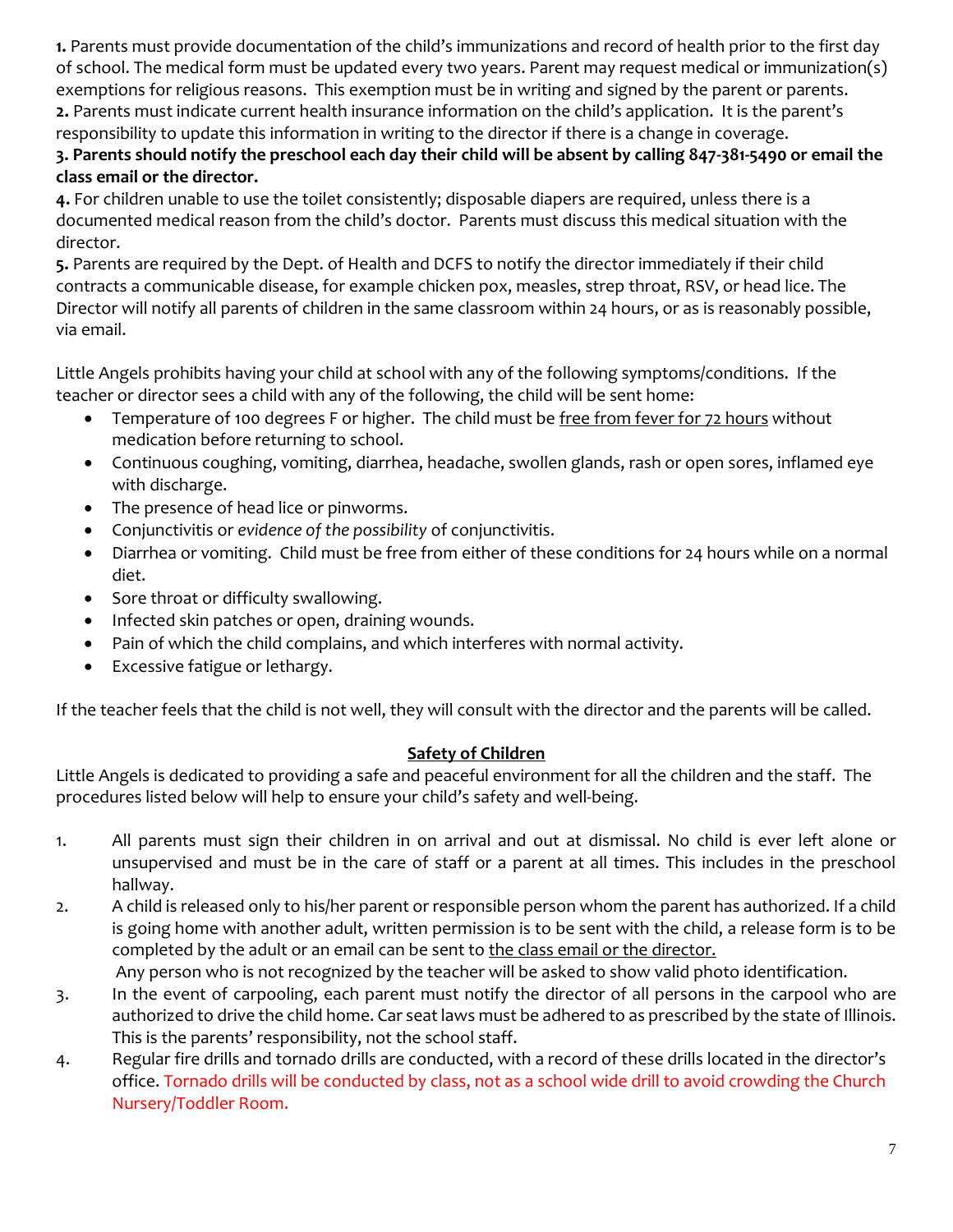**1.** Parents must provide documentation of the child's immunizations and record of health prior to the first day of school. The medical form must be updated every two years. Parent may request medical or immunization(s) exemptions for religious reasons. This exemption must be in writing and signed by the parent or parents. **2.** Parents must indicate current health insurance information on the child's application. It is the parent's responsibility to update this information in writing to the director if there is a change in coverage.

## **3. Parents should notify the preschool each day their child will be absent by calling 847-381-5490 or email the class email or the director.**

**4.** For children unable to use the toilet consistently; disposable diapers are required, unless there is a documented medical reason from the child's doctor. Parents must discuss this medical situation with the director.

**5.** Parents are required by the Dept. of Health and DCFS to notify the director immediately if their child contracts a communicable disease, for example chicken pox, measles, strep throat, RSV, or head lice. The Director will notify all parents of children in the same classroom within 24 hours, or as is reasonably possible, via email.

Little Angels prohibits having your child at school with any of the following symptoms/conditions. If the teacher or director sees a child with any of the following, the child will be sent home:

- Temperature of 100 degrees F or higher. The child must be free from fever for 72 hours without medication before returning to school.
- Continuous coughing, vomiting, diarrhea, headache, swollen glands, rash or open sores, inflamed eye with discharge.
- The presence of head lice or pinworms.
- Conjunctivitis or *evidence of the possibility* of conjunctivitis.
- Diarrhea or vomiting. Child must be free from either of these conditions for 24 hours while on a normal diet.
- Sore throat or difficulty swallowing.
- Infected skin patches or open, draining wounds.
- Pain of which the child complains, and which interferes with normal activity.
- Excessive fatigue or lethargy.

If the teacher feels that the child is not well, they will consult with the director and the parents will be called.

## **Safety of Children**

Little Angels is dedicated to providing a safe and peaceful environment for all the children and the staff. The procedures listed below will help to ensure your child's safety and well-being.

- 1. All parents must sign their children in on arrival and out at dismissal. No child is ever left alone or unsupervised and must be in the care of staff or a parent at all times. This includes in the preschool hallway.
- 2. A child is released only to his/her parent or responsible person whom the parent has authorized. If a child is going home with another adult, written permission is to be sent with the child, a release form is to be completed by the adult or an email can be sent to [the](mailto:kbaker@stmichaelsbarrington.org) class email or the director. Any person who is not recognized by the teacher will be asked to show valid photo identification.
- 3. In the event of carpooling, each parent must notify the director of all persons in the carpool who are authorized to drive the child home. Car seat laws must be adhered to as prescribed by the state of Illinois. This is the parents' responsibility, not the school staff.
- 4. Regular fire drills and tornado drills are conducted, with a record of these drills located in the director's office. Tornado drills will be conducted by class, not as a school wide drill to avoid crowding the Church Nursery/Toddler Room.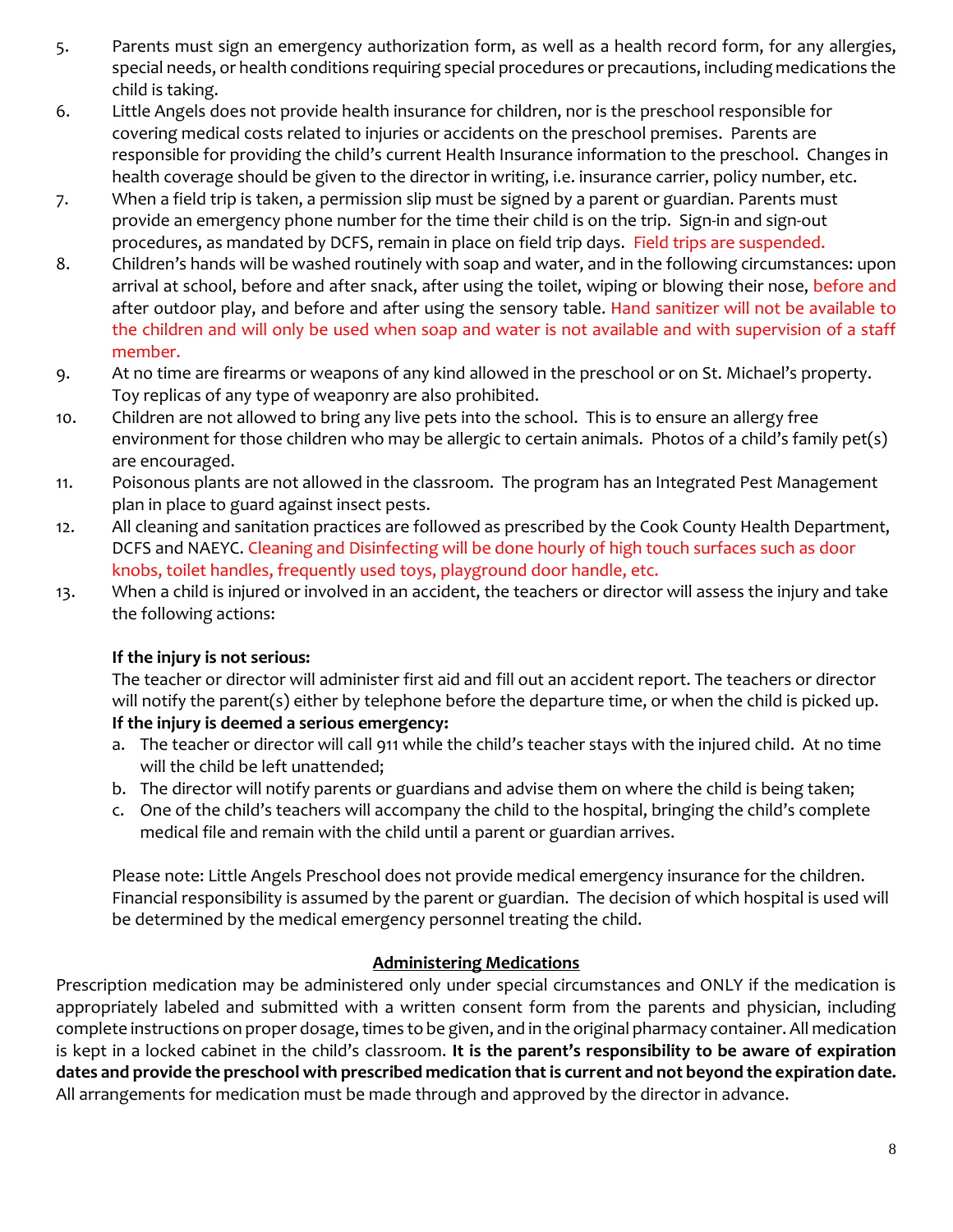- 5. Parents must sign an emergency authorization form, as well as a health record form, for any allergies, special needs, or health conditions requiring special procedures or precautions, including medications the child is taking.
- 6. Little Angels does not provide health insurance for children, nor is the preschool responsible for covering medical costs related to injuries or accidents on the preschool premises. Parents are responsible for providing the child's current Health Insurance information to the preschool. Changes in health coverage should be given to the director in writing, i.e. insurance carrier, policy number, etc.
- 7. When a field trip is taken, a permission slip must be signed by a parent or guardian. Parents must provide an emergency phone number for the time their child is on the trip. Sign-in and sign-out procedures, as mandated by DCFS, remain in place on field trip days. Field trips are suspended.
- 8. Children's hands will be washed routinely with soap and water, and in the following circumstances: upon arrival at school, before and after snack, after using the toilet, wiping or blowing their nose, before and after outdoor play, and before and after using the sensory table. Hand sanitizer will not be available to the children and will only be used when soap and water is not available and with supervision of a staff member.
- 9. At no time are firearms or weapons of any kind allowed in the preschool or on St. Michael's property. Toy replicas of any type of weaponry are also prohibited.
- 10. Children are not allowed to bring any live pets into the school. This is to ensure an allergy free environment for those children who may be allergic to certain animals. Photos of a child's family pet(s) are encouraged.
- 11. Poisonous plants are not allowed in the classroom. The program has an Integrated Pest Management plan in place to guard against insect pests.
- 12. All cleaning and sanitation practices are followed as prescribed by the Cook County Health Department, DCFS and NAEYC. Cleaning and Disinfecting will be done hourly of high touch surfaces such as door knobs, toilet handles, frequently used toys, playground door handle, etc.
- 13. When a child is injured or involved in an accident, the teachers or director will assess the injury and take the following actions:

## **If the injury is not serious:**

The teacher or director will administer first aid and fill out an accident report. The teachers or director will notify the parent(s) either by telephone before the departure time, or when the child is picked up. **If the injury is deemed a serious emergency:**

- a. The teacher or director will call 911 while the child's teacher stays with the injured child. At no time will the child be left unattended;
- b. The director will notify parents or guardians and advise them on where the child is being taken;
- c. One of the child's teachers will accompany the child to the hospital, bringing the child's complete medical file and remain with the child until a parent or guardian arrives.

Please note: Little Angels Preschool does not provide medical emergency insurance for the children. Financial responsibility is assumed by the parent or guardian. The decision of which hospital is used will be determined by the medical emergency personnel treating the child.

## **Administering Medications**

Prescription medication may be administered only under special circumstances and ONLY if the medication is appropriately labeled and submitted with a written consent form from the parents and physician, including complete instructions on proper dosage, times to be given, and in the original pharmacy container. All medication is kept in a locked cabinet in the child's classroom. **It is the parent's responsibility to be aware of expiration dates and provide the preschool with prescribed medication that is current and not beyond the expiration date.** All arrangements for medication must be made through and approved by the director in advance.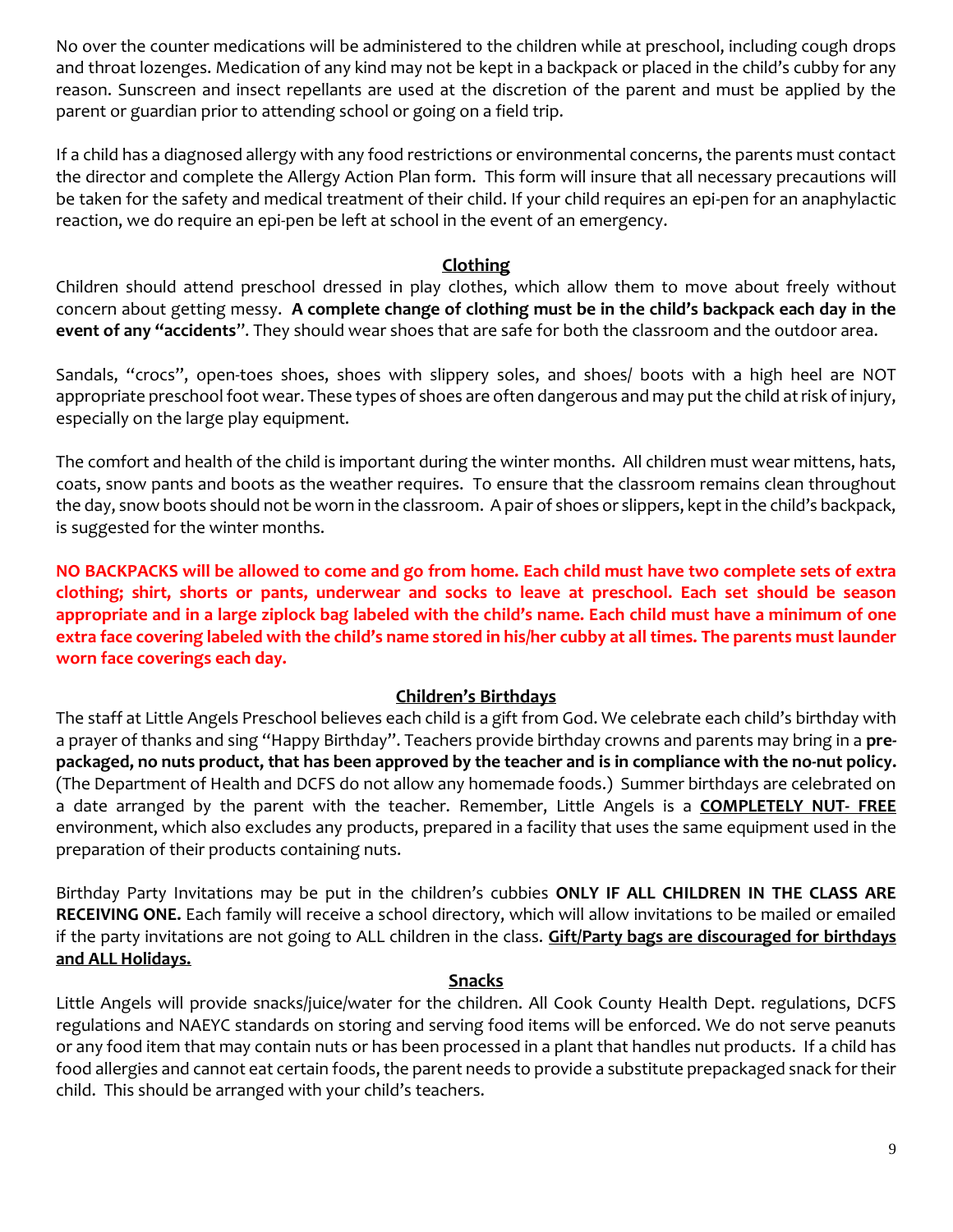No over the counter medications will be administered to the children while at preschool, including cough drops and throat lozenges. Medication of any kind may not be kept in a backpack or placed in the child's cubby for any reason. Sunscreen and insect repellants are used at the discretion of the parent and must be applied by the parent or guardian prior to attending school or going on a field trip.

If a child has a diagnosed allergy with any food restrictions or environmental concerns, the parents must contact the director and complete the Allergy Action Plan form. This form will insure that all necessary precautions will be taken for the safety and medical treatment of their child. If your child requires an epi-pen for an anaphylactic reaction, we do require an epi-pen be left at school in the event of an emergency.

### **Clothing**

Children should attend preschool dressed in play clothes, which allow them to move about freely without concern about getting messy. **A complete change of clothing must be in the child's backpack each day in the event of any "accidents**". They should wear shoes that are safe for both the classroom and the outdoor area.

Sandals, "crocs", open-toes shoes, shoes with slippery soles, and shoes/ boots with a high heel are NOT appropriate preschool foot wear. These types of shoes are often dangerous and may put the child at risk of injury, especially on the large play equipment.

The comfort and health of the child is important during the winter months. All children must wear mittens, hats, coats, snow pants and boots as the weather requires. To ensure that the classroom remains clean throughout the day, snow boots should not be worn in the classroom. A pair of shoes or slippers, kept in the child's backpack, is suggested for the winter months.

**NO BACKPACKS will be allowed to come and go from home. Each child must have two complete sets of extra clothing; shirt, shorts or pants, underwear and socks to leave at preschool. Each set should be season appropriate and in a large ziplock bag labeled with the child's name. Each child must have a minimum of one extra face covering labeled with the child's name stored in his/her cubby at all times. The parents must launder worn face coverings each day.** 

## **Children's Birthdays**

The staff at Little Angels Preschool believes each child is a gift from God. We celebrate each child's birthday with a prayer of thanks and sing "Happy Birthday". Teachers provide birthday crowns and parents may bring in a **prepackaged, no nuts product, that has been approved by the teacher and is in compliance with the no-nut policy.** (The Department of Health and DCFS do not allow any homemade foods.) Summer birthdays are celebrated on a date arranged by the parent with the teacher. Remember, Little Angels is a **COMPLETELY NUT- FREE** environment, which also excludes any products, prepared in a facility that uses the same equipment used in the preparation of their products containing nuts.

Birthday Party Invitations may be put in the children's cubbies **ONLY IF ALL CHILDREN IN THE CLASS ARE RECEIVING ONE.** Each family will receive a school directory, which will allow invitations to be mailed or emailed if the party invitations are not going to ALL children in the class. **Gift/Party bags are discouraged for birthdays and ALL Holidays.** 

## **Snacks**

Little Angels will provide snacks/juice/water for the children. All Cook County Health Dept. regulations, DCFS regulations and NAEYC standards on storing and serving food items will be enforced. We do not serve peanuts or any food item that may contain nuts or has been processed in a plant that handles nut products. If a child has food allergies and cannot eat certain foods, the parent needs to provide a substitute prepackaged snack for their child. This should be arranged with your child's teachers.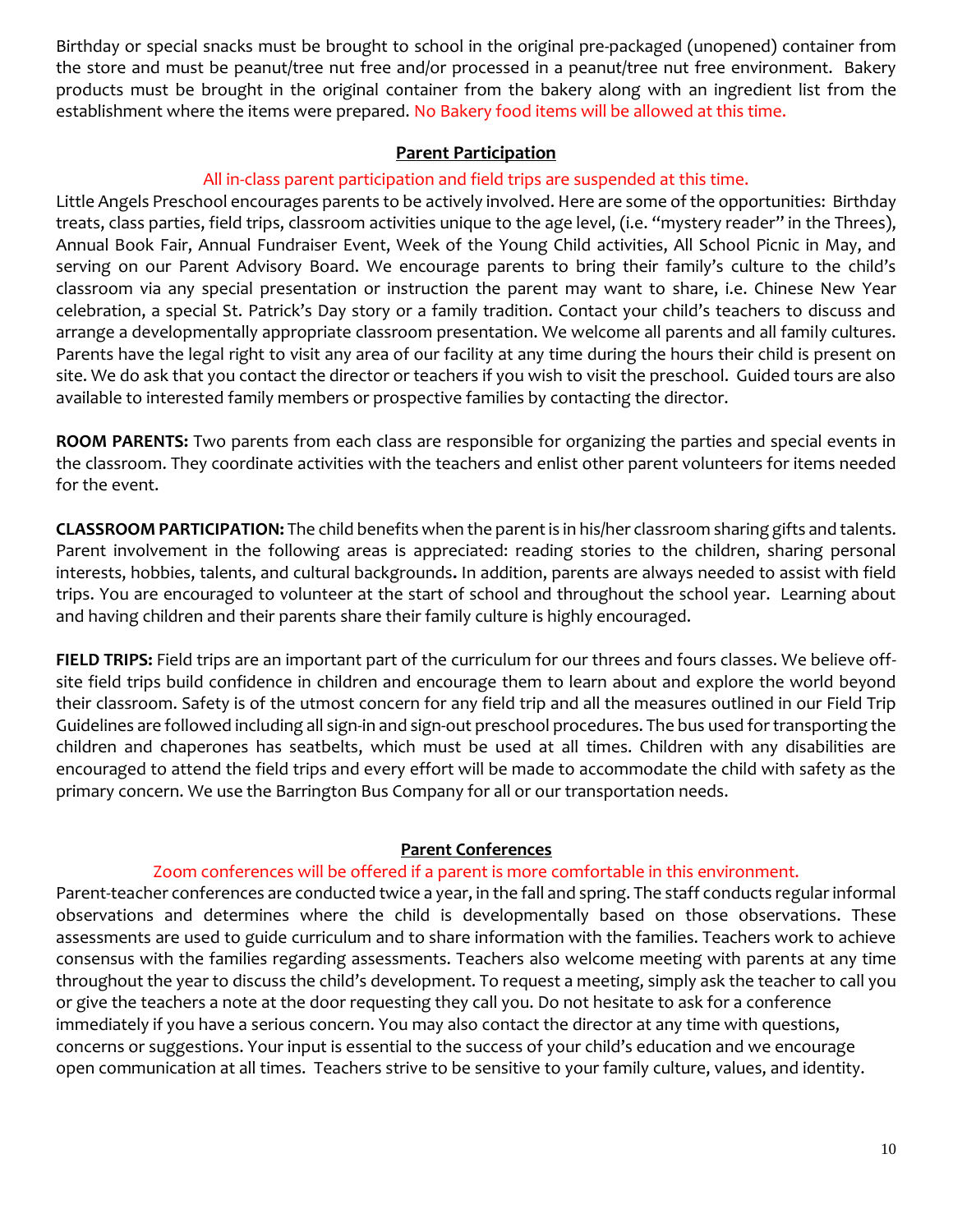Birthday or special snacks must be brought to school in the original pre-packaged (unopened) container from the store and must be peanut/tree nut free and/or processed in a peanut/tree nut free environment. Bakery products must be brought in the original container from the bakery along with an ingredient list from the establishment where the items were prepared. No Bakery food items will be allowed at this time.

#### **Parent Participation**

#### All in-class parent participation and field trips are suspended at this time.

Little Angels Preschool encourages parents to be actively involved. Here are some of the opportunities: Birthday treats, class parties, field trips, classroom activities unique to the age level, (i.e. "mystery reader" in the Threes), Annual Book Fair, Annual Fundraiser Event, Week of the Young Child activities, All School Picnic in May, and serving on our Parent Advisory Board. We encourage parents to bring their family's culture to the child's classroom via any special presentation or instruction the parent may want to share, i.e. Chinese New Year celebration, a special St. Patrick's Day story or a family tradition. Contact your child's teachers to discuss and arrange a developmentally appropriate classroom presentation. We welcome all parents and all family cultures. Parents have the legal right to visit any area of our facility at any time during the hours their child is present on site. We do ask that you contact the director or teachers if you wish to visit the preschool. Guided tours are also available to interested family members or prospective families by contacting the director.

**ROOM PARENTS:** Two parents from each class are responsible for organizing the parties and special events in the classroom. They coordinate activities with the teachers and enlist other parent volunteers for items needed for the event.

**CLASSROOM PARTICIPATION:** The child benefits when the parent is in his/her classroom sharing gifts and talents. Parent involvement in the following areas is appreciated: reading stories to the children, sharing personal interests, hobbies, talents, and cultural backgrounds**.** In addition, parents are always needed to assist with field trips. You are encouraged to volunteer at the start of school and throughout the school year. Learning about and having children and their parents share their family culture is highly encouraged.

**FIELD TRIPS:** Field trips are an important part of the curriculum for our threes and fours classes. We believe offsite field trips build confidence in children and encourage them to learn about and explore the world beyond their classroom. Safety is of the utmost concern for any field trip and all the measures outlined in our Field Trip Guidelines are followed including all sign-in and sign-out preschool procedures. The bus used for transporting the children and chaperones has seatbelts, which must be used at all times. Children with any disabilities are encouraged to attend the field trips and every effort will be made to accommodate the child with safety as the primary concern. We use the Barrington Bus Company for all or our transportation needs.

#### **Parent Conferences**

#### Zoom conferences will be offered if a parent is more comfortable in this environment.

Parent-teacher conferences are conducted twice a year, in the fall and spring. The staff conducts regular informal observations and determines where the child is developmentally based on those observations. These assessments are used to guide curriculum and to share information with the families. Teachers work to achieve consensus with the families regarding assessments. Teachers also welcome meeting with parents at any time throughout the year to discuss the child's development. To request a meeting, simply ask the teacher to call you or give the teachers a note at the door requesting they call you. Do not hesitate to ask for a conference immediately if you have a serious concern. You may also contact the director at any time with questions, concerns or suggestions. Your input is essential to the success of your child's education and we encourage open communication at all times. Teachers strive to be sensitive to your family culture, values, and identity.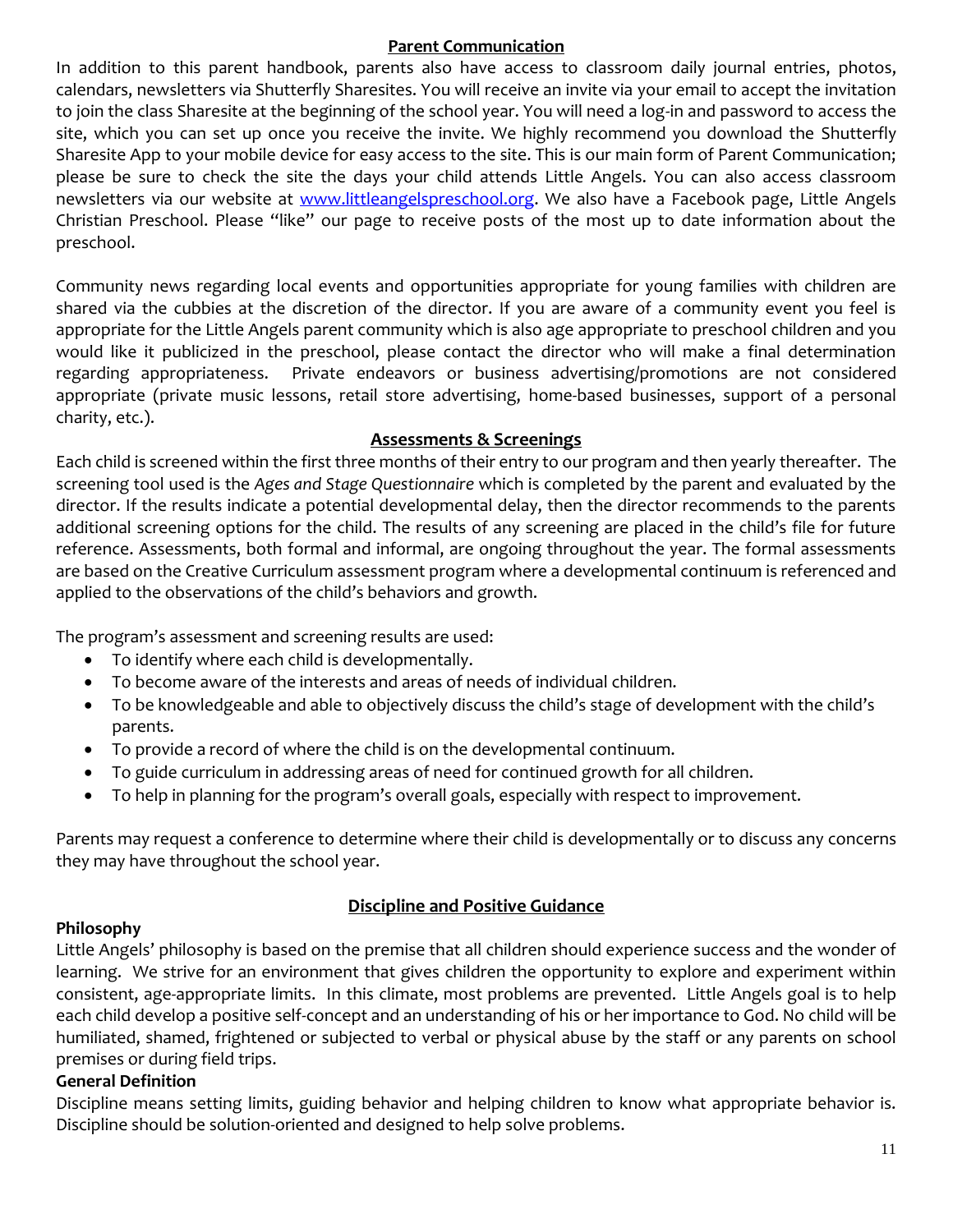#### **Parent Communication**

In addition to this parent handbook, parents also have access to classroom daily journal entries, photos, calendars, newsletters via Shutterfly Sharesites. You will receive an invite via your email to accept the invitation to join the class Sharesite at the beginning of the school year. You will need a log-in and password to access the site, which you can set up once you receive the invite. We highly recommend you download the Shutterfly Sharesite App to your mobile device for easy access to the site. This is our main form of Parent Communication; please be sure to check the site the days your child attends Little Angels. You can also access classroom newsletters via our website at [www.littleangelspreschool.org.](http://www.littleangelspreschool.org/) We also have a Facebook page, Little Angels Christian Preschool. Please "like" our page to receive posts of the most up to date information about the preschool.

Community news regarding local events and opportunities appropriate for young families with children are shared via the cubbies at the discretion of the director. If you are aware of a community event you feel is appropriate for the Little Angels parent community which is also age appropriate to preschool children and you would like it publicized in the preschool, please contact the director who will make a final determination regarding appropriateness. Private endeavors or business advertising/promotions are not considered appropriate (private music lessons, retail store advertising, home-based businesses, support of a personal charity, etc.).

## **Assessments & Screenings**

Each child is screened within the first three months of their entry to our program and then yearly thereafter. The screening tool used is the *Ages and Stage Questionnaire* which is completed by the parent and evaluated by the director. If the results indicate a potential developmental delay, then the director recommends to the parents additional screening options for the child. The results of any screening are placed in the child's file for future reference. Assessments, both formal and informal, are ongoing throughout the year. The formal assessments are based on the Creative Curriculum assessment program where a developmental continuum is referenced and applied to the observations of the child's behaviors and growth.

The program's assessment and screening results are used:

- To identify where each child is developmentally.
- To become aware of the interests and areas of needs of individual children.
- To be knowledgeable and able to objectively discuss the child's stage of development with the child's parents.
- To provide a record of where the child is on the developmental continuum.
- To guide curriculum in addressing areas of need for continued growth for all children.
- To help in planning for the program's overall goals, especially with respect to improvement.

Parents may request a conference to determine where their child is developmentally or to discuss any concerns they may have throughout the school year.

## **Discipline and Positive Guidance**

## **Philosophy**

Little Angels' philosophy is based on the premise that all children should experience success and the wonder of learning. We strive for an environment that gives children the opportunity to explore and experiment within consistent, age-appropriate limits. In this climate, most problems are prevented. Little Angels goal is to help each child develop a positive self-concept and an understanding of his or her importance to God. No child will be humiliated, shamed, frightened or subjected to verbal or physical abuse by the staff or any parents on school premises or during field trips.

## **General Definition**

Discipline means setting limits, guiding behavior and helping children to know what appropriate behavior is. Discipline should be solution-oriented and designed to help solve problems.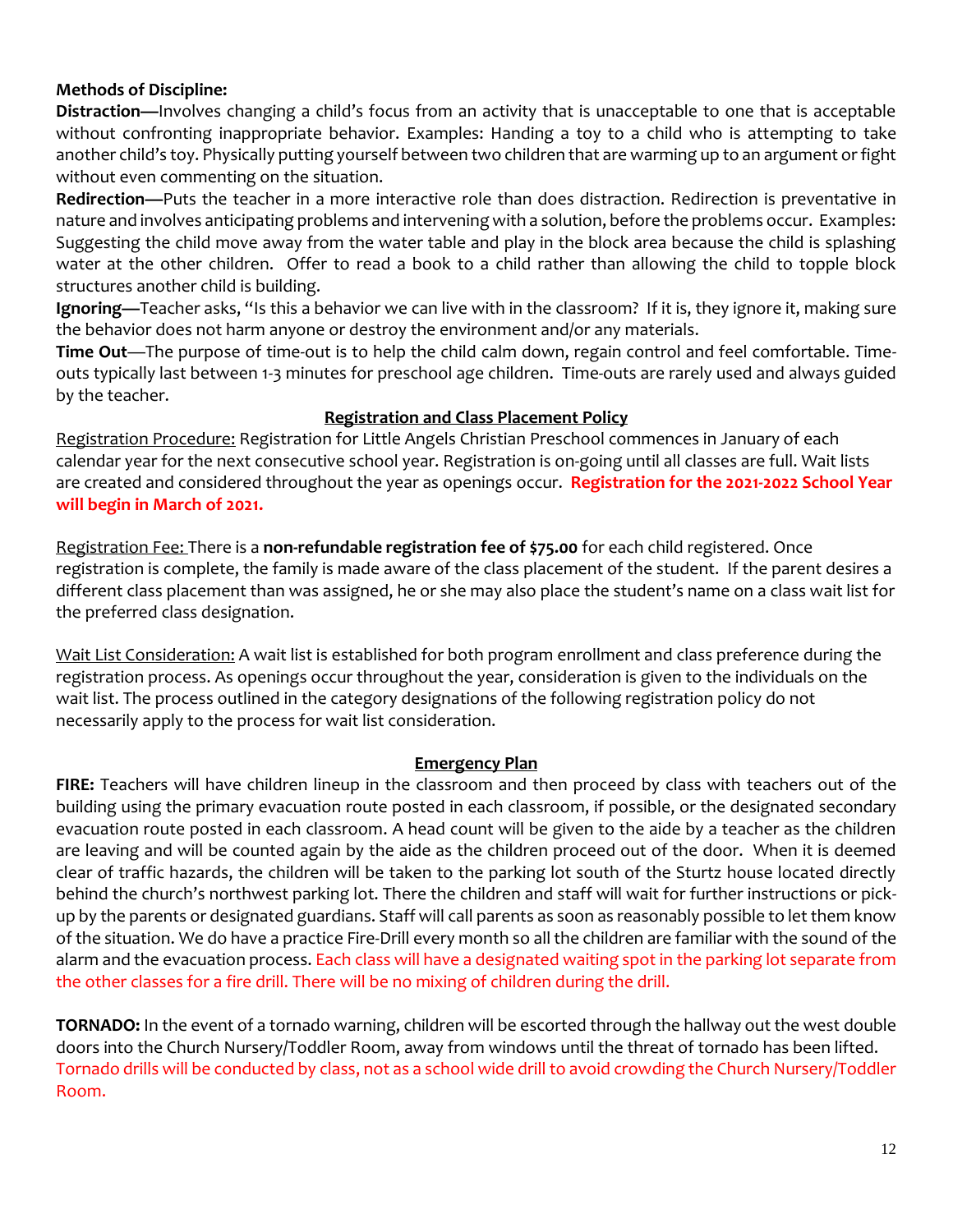## **Methods of Discipline:**

**Distraction—**Involves changing a child's focus from an activity that is unacceptable to one that is acceptable without confronting inappropriate behavior. Examples: Handing a toy to a child who is attempting to take another child's toy. Physically putting yourself between two children that are warming up to an argument or fight without even commenting on the situation.

**Redirection—**Puts the teacher in a more interactive role than does distraction. Redirection is preventative in nature and involves anticipating problems and intervening with a solution, before the problems occur. Examples: Suggesting the child move away from the water table and play in the block area because the child is splashing water at the other children. Offer to read a book to a child rather than allowing the child to topple block structures another child is building.

**Ignoring—**Teacher asks, "Is this a behavior we can live with in the classroom? If it is, they ignore it, making sure the behavior does not harm anyone or destroy the environment and/or any materials.

**Time Out**—The purpose of time-out is to help the child calm down, regain control and feel comfortable. Timeouts typically last between 1-3 minutes for preschool age children. Time-outs are rarely used and always guided by the teacher.

#### **Registration and Class Placement Policy**

Registration Procedure: Registration for Little Angels Christian Preschool commences in January of each calendar year for the next consecutive school year. Registration is on-going until all classes are full. Wait lists are created and considered throughout the year as openings occur. **Registration for the 2021-2022 School Year will begin in March of 2021.** 

Registration Fee: There is a **non-refundable registration fee of \$75.00** for each child registered. Once registration is complete, the family is made aware of the class placement of the student. If the parent desires a different class placement than was assigned, he or she may also place the student's name on a class wait list for the preferred class designation.

Wait List Consideration: A wait list is established for both program enrollment and class preference during the registration process. As openings occur throughout the year, consideration is given to the individuals on the wait list. The process outlined in the category designations of the following registration policy do not necessarily apply to the process for wait list consideration.

## **Emergency Plan**

**FIRE:** Teachers will have children lineup in the classroom and then proceed by class with teachers out of the building using the primary evacuation route posted in each classroom, if possible, or the designated secondary evacuation route posted in each classroom. A head count will be given to the aide by a teacher as the children are leaving and will be counted again by the aide as the children proceed out of the door. When it is deemed clear of traffic hazards, the children will be taken to the parking lot south of the Sturtz house located directly behind the church's northwest parking lot. There the children and staff will wait for further instructions or pickup by the parents or designated guardians. Staff will call parents as soon as reasonably possible to let them know of the situation. We do have a practice Fire-Drill every month so all the children are familiar with the sound of the alarm and the evacuation process. Each class will have a designated waiting spot in the parking lot separate from the other classes for a fire drill. There will be no mixing of children during the drill.

**TORNADO:** In the event of a tornado warning, children will be escorted through the hallway out the west double doors into the Church Nursery/Toddler Room, away from windows until the threat of tornado has been lifted. Tornado drills will be conducted by class, not as a school wide drill to avoid crowding the Church Nursery/Toddler Room.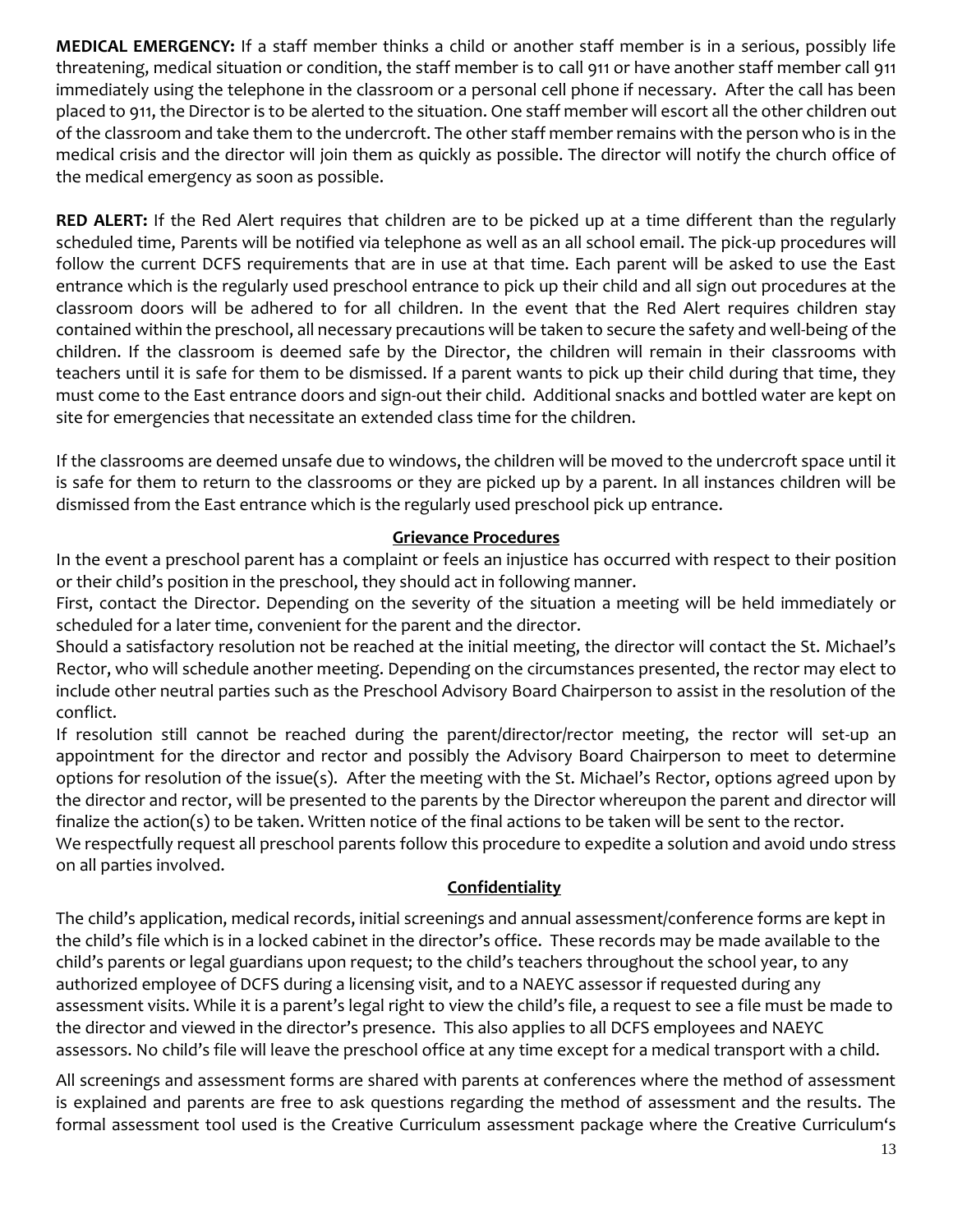**MEDICAL EMERGENCY:** If a staff member thinks a child or another staff member is in a serious, possibly life threatening, medical situation or condition, the staff member is to call 911 or have another staff member call 911 immediately using the telephone in the classroom or a personal cell phone if necessary. After the call has been placed to 911, the Director is to be alerted to the situation. One staff member will escort all the other children out of the classroom and take them to the undercroft. The other staff member remains with the person who is in the medical crisis and the director will join them as quickly as possible. The director will notify the church office of the medical emergency as soon as possible.

**RED ALERT:** If the Red Alert requires that children are to be picked up at a time different than the regularly scheduled time, Parents will be notified via telephone as well as an all school email. The pick-up procedures will follow the current DCFS requirements that are in use at that time. Each parent will be asked to use the East entrance which is the regularly used preschool entrance to pick up their child and all sign out procedures at the classroom doors will be adhered to for all children. In the event that the Red Alert requires children stay contained within the preschool, all necessary precautions will be taken to secure the safety and well-being of the children. If the classroom is deemed safe by the Director, the children will remain in their classrooms with teachers until it is safe for them to be dismissed. If a parent wants to pick up their child during that time, they must come to the East entrance doors and sign-out their child. Additional snacks and bottled water are kept on site for emergencies that necessitate an extended class time for the children.

If the classrooms are deemed unsafe due to windows, the children will be moved to the undercroft space until it is safe for them to return to the classrooms or they are picked up by a parent. In all instances children will be dismissed from the East entrance which is the regularly used preschool pick up entrance.

#### **Grievance Procedures**

In the event a preschool parent has a complaint or feels an injustice has occurred with respect to their position or their child's position in the preschool, they should act in following manner.

First, contact the Director. Depending on the severity of the situation a meeting will be held immediately or scheduled for a later time, convenient for the parent and the director.

Should a satisfactory resolution not be reached at the initial meeting, the director will contact the St. Michael's Rector, who will schedule another meeting. Depending on the circumstances presented, the rector may elect to include other neutral parties such as the Preschool Advisory Board Chairperson to assist in the resolution of the conflict.

If resolution still cannot be reached during the parent/director/rector meeting, the rector will set-up an appointment for the director and rector and possibly the Advisory Board Chairperson to meet to determine options for resolution of the issue(s). After the meeting with the St. Michael's Rector, options agreed upon by the director and rector, will be presented to the parents by the Director whereupon the parent and director will finalize the action(s) to be taken. Written notice of the final actions to be taken will be sent to the rector. We respectfully request all preschool parents follow this procedure to expedite a solution and avoid undo stress

on all parties involved.

## **Confidentiality**

The child's application, medical records, initial screenings and annual assessment/conference forms are kept in the child's file which is in a locked cabinet in the director's office. These records may be made available to the child's parents or legal guardians upon request; to the child's teachers throughout the school year, to any authorized employee of DCFS during a licensing visit, and to a NAEYC assessor if requested during any assessment visits. While it is a parent's legal right to view the child's file, a request to see a file must be made to the director and viewed in the director's presence. This also applies to all DCFS employees and NAEYC assessors. No child's file will leave the preschool office at any time except for a medical transport with a child.

All screenings and assessment forms are shared with parents at conferences where the method of assessment is explained and parents are free to ask questions regarding the method of assessment and the results. The formal assessment tool used is the Creative Curriculum assessment package where the Creative Curriculum's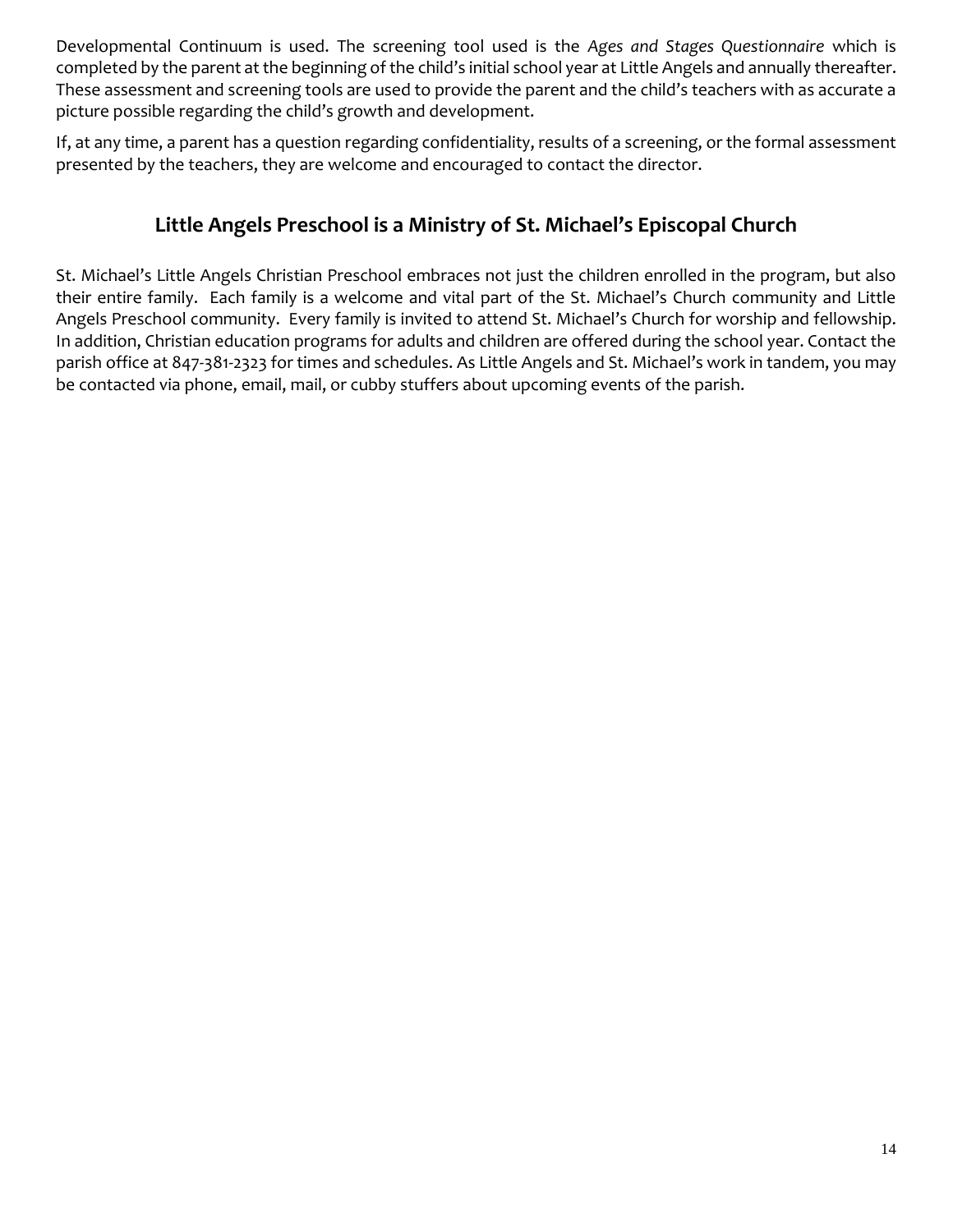Developmental Continuum is used. The screening tool used is the *Ages and Stages Questionnaire* which is completed by the parent at the beginning of the child's initial school year at Little Angels and annually thereafter. These assessment and screening tools are used to provide the parent and the child's teachers with as accurate a picture possible regarding the child's growth and development.

If, at any time, a parent has a question regarding confidentiality, results of a screening, or the formal assessment presented by the teachers, they are welcome and encouraged to contact the director.

# **Little Angels Preschool is a Ministry of St. Michael's Episcopal Church**

St. Michael's Little Angels Christian Preschool embraces not just the children enrolled in the program, but also their entire family. Each family is a welcome and vital part of the St. Michael's Church community and Little Angels Preschool community. Every family is invited to attend St. Michael's Church for worship and fellowship. In addition, Christian education programs for adults and children are offered during the school year. Contact the parish office at 847-381-2323 for times and schedules. As Little Angels and St. Michael's work in tandem, you may be contacted via phone, email, mail, or cubby stuffers about upcoming events of the parish.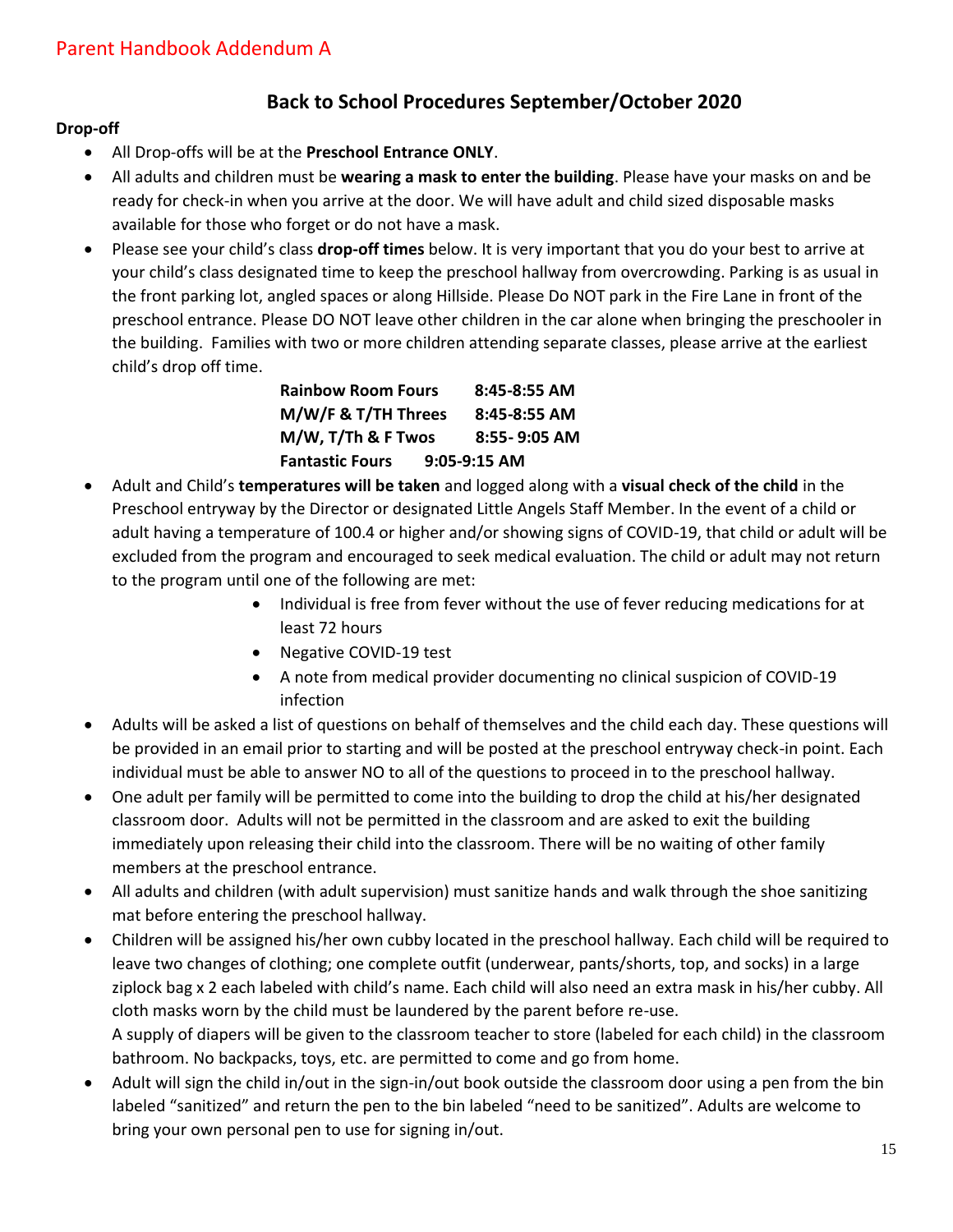## **Back to School Procedures September/October 2020**

### **Drop-off**

- All Drop-offs will be at the **Preschool Entrance ONLY**.
- All adults and children must be **wearing a mask to enter the building**. Please have your masks on and be ready for check-in when you arrive at the door. We will have adult and child sized disposable masks available for those who forget or do not have a mask.
- Please see your child's class **drop-off times** below. It is very important that you do your best to arrive at your child's class designated time to keep the preschool hallway from overcrowding. Parking is as usual in the front parking lot, angled spaces or along Hillside. Please Do NOT park in the Fire Lane in front of the preschool entrance. Please DO NOT leave other children in the car alone when bringing the preschooler in the building. Families with two or more children attending separate classes, please arrive at the earliest child's drop off time.

| <b>Rainbow Room Fours</b> | $8:45 - 8:55$ AM |
|---------------------------|------------------|
| M/W/F & T/TH Threes       | 8:45-8:55 AM     |
| M/W, T/Th & F Twos        | $8:55 - 9:05$ AM |
| <b>Fantastic Fours</b>    | $9:05-9:15$ AM   |

- Adult and Child's **temperatures will be taken** and logged along with a **visual check of the child** in the Preschool entryway by the Director or designated Little Angels Staff Member. In the event of a child or adult having a temperature of 100.4 or higher and/or showing signs of COVID-19, that child or adult will be excluded from the program and encouraged to seek medical evaluation. The child or adult may not return to the program until one of the following are met:
	- Individual is free from fever without the use of fever reducing medications for at least 72 hours
	- Negative COVID-19 test
	- A note from medical provider documenting no clinical suspicion of COVID-19 infection
- Adults will be asked a list of questions on behalf of themselves and the child each day. These questions will be provided in an email prior to starting and will be posted at the preschool entryway check-in point. Each individual must be able to answer NO to all of the questions to proceed in to the preschool hallway.
- One adult per family will be permitted to come into the building to drop the child at his/her designated classroom door. Adults will not be permitted in the classroom and are asked to exit the building immediately upon releasing their child into the classroom. There will be no waiting of other family members at the preschool entrance.
- All adults and children (with adult supervision) must sanitize hands and walk through the shoe sanitizing mat before entering the preschool hallway.
- Children will be assigned his/her own cubby located in the preschool hallway. Each child will be required to leave two changes of clothing; one complete outfit (underwear, pants/shorts, top, and socks) in a large ziplock bag x 2 each labeled with child's name. Each child will also need an extra mask in his/her cubby. All cloth masks worn by the child must be laundered by the parent before re-use. A supply of diapers will be given to the classroom teacher to store (labeled for each child) in the classroom bathroom. No backpacks, toys, etc. are permitted to come and go from home.
- Adult will sign the child in/out in the sign-in/out book outside the classroom door using a pen from the bin labeled "sanitized" and return the pen to the bin labeled "need to be sanitized". Adults are welcome to bring your own personal pen to use for signing in/out.